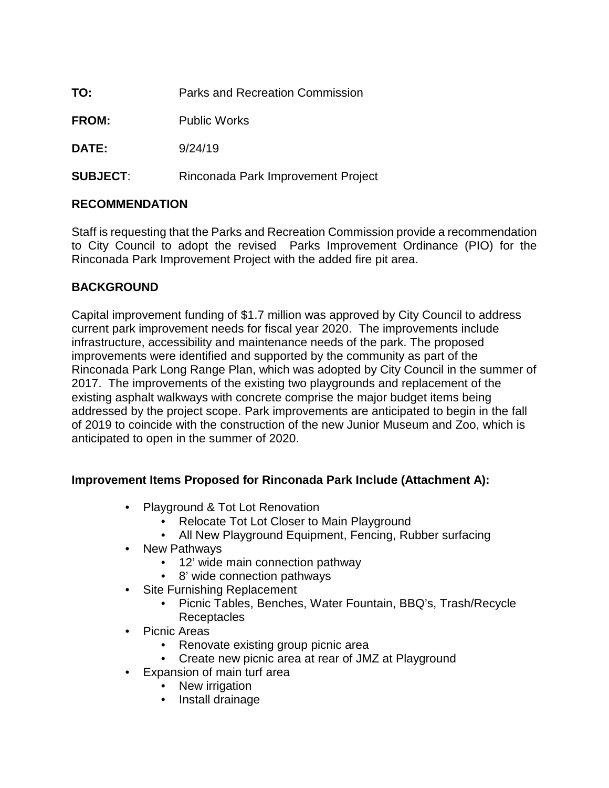| TO:             | Parks and Recreation Commission    |
|-----------------|------------------------------------|
| <b>FROM:</b>    | <b>Public Works</b>                |
| DATE:           | 9/24/19                            |
| <b>SUBJECT:</b> | Rinconada Park Improvement Project |

# **RECOMMENDATION**

Staff is requesting that the Parks and Recreation Commission provide a recommendation to City Council to adopt the revised Parks Improvement Ordinance (PIO) for the Rinconada Park Improvement Project with the added fire pit area.

# **BACKGROUND**

Capital improvement funding of \$1.7 million was approved by City Council to address current park improvement needs for fiscal year 2020. The improvements include infrastructure, accessibility and maintenance needs of the park. The proposed improvements were identified and supported by the community as part of the Rinconada Park Long Range Plan, which was adopted by City Council in the summer of 2017. The improvements of the existing two playgrounds and replacement of the existing asphalt walkways with concrete comprise the major budget items being addressed by the project scope. Park improvements are anticipated to begin in the fall of 2019 to coincide with the construction of the new Junior Museum and Zoo, which is anticipated to open in the summer of 2020.

### **Improvement Items Proposed for Rinconada Park Include (Attachment A):**

- Playground & Tot Lot Renovation
	- Relocate Tot Lot Closer to Main Playground
	- All New Playground Equipment, Fencing, Rubber surfacing
- **New Pathways** 
	- 12' wide main connection pathway
	- 8' wide connection pathways
- Site Furnishing Replacement
	- Picnic Tables, Benches, Water Fountain, BBQ's, Trash/Recycle Receptacles
- Picnic Areas
	- Renovate existing group picnic area
	- Create new picnic area at rear of JMZ at Playground
- Expansion of main turf area
	- New irrigation
	- Install drainage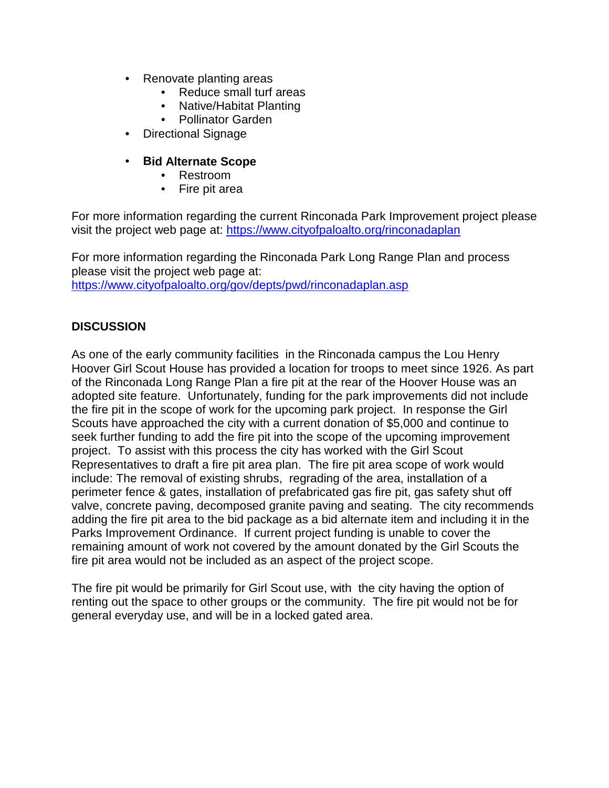- Renovate planting areas
	- Reduce small turf areas
	- Native/Habitat Planting
	- Pollinator Garden
- Directional Signage
- **Bid Alternate Scope**
	- Restroom
	- Fire pit area

For more information regarding the current Rinconada Park Improvement project please visit the project web page at:<https://www.cityofpaloalto.org/rinconadaplan>

For more information regarding the Rinconada Park Long Range Plan and process please visit the project web page at: <https://www.cityofpaloalto.org/gov/depts/pwd/rinconadaplan.asp>

# **DISCUSSION**

As one of the early community facilities in the Rinconada campus the Lou Henry Hoover Girl Scout House has provided a location for troops to meet since 1926. As part of the Rinconada Long Range Plan a fire pit at the rear of the Hoover House was an adopted site feature. Unfortunately, funding for the park improvements did not include the fire pit in the scope of work for the upcoming park project. In response the Girl Scouts have approached the city with a current donation of \$5,000 and continue to seek further funding to add the fire pit into the scope of the upcoming improvement project. To assist with this process the city has worked with the Girl Scout Representatives to draft a fire pit area plan. The fire pit area scope of work would include: The removal of existing shrubs, regrading of the area, installation of a perimeter fence & gates, installation of prefabricated gas fire pit, gas safety shut off valve, concrete paving, decomposed granite paving and seating. The city recommends adding the fire pit area to the bid package as a bid alternate item and including it in the Parks Improvement Ordinance. If current project funding is unable to cover the remaining amount of work not covered by the amount donated by the Girl Scouts the fire pit area would not be included as an aspect of the project scope.

The fire pit would be primarily for Girl Scout use, with the city having the option of renting out the space to other groups or the community. The fire pit would not be for general everyday use, and will be in a locked gated area.